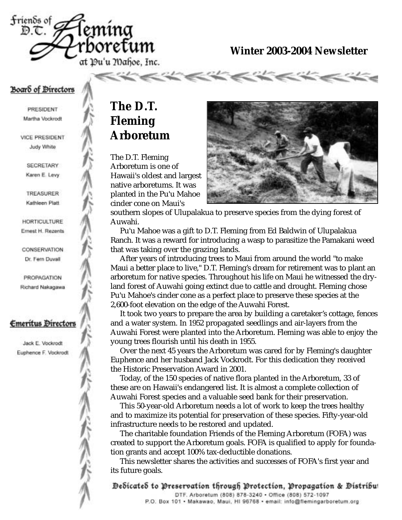

**Winter 2003-2004 Newsletter**

#### Board of Directors

PRESIDENT Martha Vockrodt

**VICE PRESIDENT** Judy White

> SECRETARY Karen E. Levy.

> **TREASURER** Kathleen Platt

**HORTICULTURE** Ernest H. Rezents

CONSERVATION Dr. Fern Duvall

PROPAGATION Richard Nakagawa

#### **Emeritus Directors**

Jack E. Vockrodt Euphence F. Vockrodt

## **The D.T. Fleming Arboretum**

The D.T. Fleming Arboretum is one of Hawaii's oldest and largest native arboretums. It was planted in the Pu'u Mahoe cinder cone on Maui's



southern slopes of Ulupalakua to preserve species from the dying forest of Auwahi.

Pu'u Mahoe was a gift to D.T. Fleming from Ed Baldwin of Ulupalakua Ranch. It was a reward for introducing a wasp to parasitize the Pamakani weed that was taking over the grazing lands.

After years of introducing trees to Maui from around the world "to make Maui a better place to live," D.T. Fleming's dream for retirement was to plant an arboretum for native species. Throughout his life on Maui he witnessed the dryland forest of Auwahi going extinct due to cattle and drought. Fleming chose Pu'u Mahoe's cinder cone as a perfect place to preserve these species at the 2,600-foot elevation on the edge of the Auwahi Forest.

It took two years to prepare the area by building a caretaker's cottage, fences and a water system. In 1952 propagated seedlings and air-layers from the Auwahi Forest were planted into the Arboretum. Fleming was able to enjoy the young trees flourish until his death in 1955.

Over the next 45 years the Arboretum was cared for by Fleming's daughter Euphence and her husband Jack Vockrodt. For this dedication they received the Historic Preservation Award in 2001.

Today, of the 150 species of native flora planted in the Arboretum, 33 of these are on Hawaii's endangered list. It is almost a complete collection of Auwahi Forest species and a valuable seed bank for their preservation.

This 50-year-old Arboretum needs a lot of work to keep the trees healthy and to maximize its potential for preservation of these species. Fifty-year-old infrastructure needs to be restored and updated.

The charitable foundation Friends of the Fleming Arboretum (FOFA) was created to support the Arboretum goals. FOFA is qualified to apply for foundation grants and accept 100% tax-deductible donations.

This newsletter shares the activities and successes of FOFA's first year and its future goals.

Dedicated to Preservation through Protection, Propagation & Distribu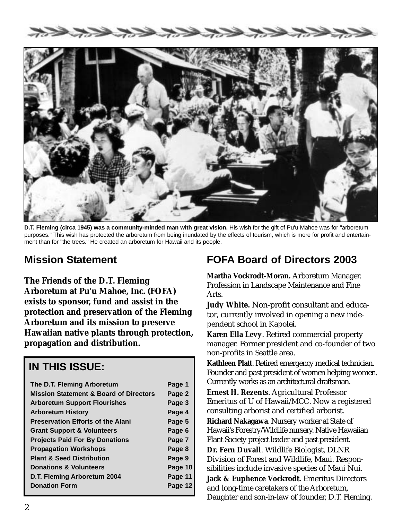



**D.T. Fleming (circa 1945) was a community-minded man with great vision.** His wish for the gift of Pu'u Mahoe was for "arboretum purposes." This wish has protected the arboretum from being inundated by the effects of tourism, which is more for profit and entertainment than for "the trees." He created an arboretum for Hawaii and its people.

### **Mission Statement**

**The Friends of the D.T. Fleming Arboretum at Pu'u Mahoe, Inc. (FOFA) exists to sponsor, fund and assist in the protection and preservation of the Fleming Arboretum and its mission to preserve Hawaiian native plants through protection, propagation and distribution.**

#### **IN THIS ISSUE:**

| The D.T. Fleming Arboretum                        | Page 1  |
|---------------------------------------------------|---------|
| <b>Mission Statement &amp; Board of Directors</b> | Page 2  |
| <b>Arboretum Support Flourishes</b>               | Page 3  |
| <b>Arboretum History</b>                          | Page 4  |
| <b>Preservation Efforts of the Alani</b>          | Page 5  |
| <b>Grant Support &amp; Volunteers</b>             | Page 6  |
| <b>Projects Paid For By Donations</b>             | Page 7  |
| <b>Propagation Workshops</b>                      | Page 8  |
| <b>Plant &amp; Seed Distribution</b>              | Page 9  |
| <b>Donations &amp; Volunteers</b>                 | Page 10 |
| D.T. Fleming Arboretum 2004                       | Page 11 |
| <b>Donation Form</b>                              | Page 12 |
|                                                   |         |

### **FOFA Board of Directors 2003**

**Martha Vockrodt-Moran.** Arboretum Manager. Profession in Landscape Maintenance and Fine Arts.

**Judy White.** Non-profit consultant and educator, currently involved in opening a new independent school in Kapolei.

**Karen Ella Levy**. Retired commercial property manager. Former president and co-founder of two non-profits in Seattle area.

**Kathleen Platt**. Retired emergency medical technician. Founder and past president of women helping women. Currently works as an architectural draftsman.

**Ernest H. Rezents**. Agricultural Professor Emeritus of U of Hawaii/MCC. Now a registered consulting arborist and certified arborist.

**Richard Nakagawa**. Nursery worker at State of Hawaii's Forestry/Wildlife nursery. Native Hawaiian Plant Society project leader and past president.

**Dr. Fern Duvall**. Wildlife Biologist, DLNR Division of Forest and Wildlife, Maui. Responsibilities include invasive species of Maui Nui.

**Jack & Euphence Vockrodt.** Emeritus Directors and long-time caretakers of the Arboretum, Daughter and son-in-law of founder, D.T. Fleming.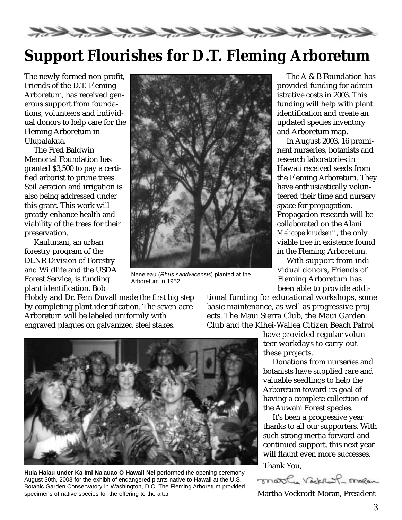EKKERKERKERKERKER

## **Support Flourishes for D.T. Fleming Arboretum**

The newly formed non-profit, Friends of the D.T. Fleming Arboretum, has received generous support from foundations, volunteers and individual donors to help care for the Fleming Arboretum in Ulupalakua.

The Fred Baldwin Memorial Foundation has granted \$3,500 to pay a certified arborist to prune trees. Soil aeration and irrigation is also being addressed under this grant. This work will greatly enhance health and viability of the trees for their preservation.

Kaulunani, an urban forestry program of the DLNR Division of Forestry and Wildlife and the USDA Forest Service, is funding plant identification. Bob



Neneleau (*Rhus sandwicensis*) planted at the Arboretum in 1952.

Hobdy and Dr. Fern Duvall made the first big step by completing plant identification. The seven-acre Arboretum will be labeled uniformly with engraved plaques on galvanized steel stakes.

The A & B Foundation has provided funding for administrative costs in 2003. This funding will help with plant identification and create an updated species inventory and Arboretum map.

In August 2003, 16 prominent nurseries, botanists and research laboratories in Hawaii received seeds from the Fleming Arboretum. They have enthusiastically volunteered their time and nursery space for propagation. Propagation research will be collaborated on the Alani *Melicope knudsenii*, the only viable tree in existence found in the Fleming Arboretum.

With support from individual donors, Friends of Fleming Arboretum has been able to provide addi-

tional funding for educational workshops, some basic maintenance, as well as progressive projects. The Maui Sierra Club, the Maui Garden Club and the Kihei-Wailea Citizen Beach Patrol

> have provided regular volunteer workdays to carry out these projects.

Donations from nurseries and botanists have supplied rare and valuable seedlings to help the Arboretum toward its goal of having a complete collection of the Auwahi Forest species.

It's been a progressive year thanks to all our supporters. With such strong inertia forward and continued support, this next year will flaunt even more successes. Thank You,



Martha Vockrodt-Moran, President



**Hula Halau under Ka Imi Na'auao O Hawaii Nei** performed the opening ceremony August 30th, 2003 for the exhibit of endangered plants native to Hawaii at the U.S. Botanic Garden Conservatory in Washington, D.C. The Fleming Arboretum provided specimens of native species for the offering to the altar.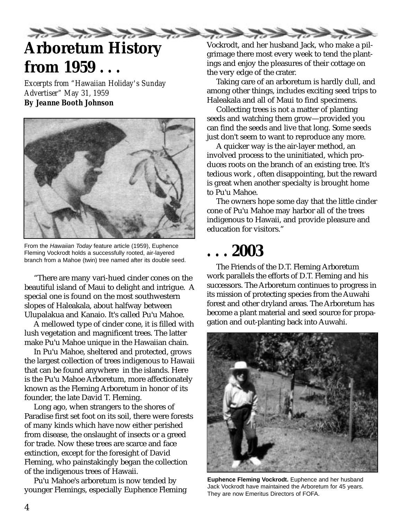

# **Arboretum History from 1959 . . .**

*Excerpts from "Hawaiian Holiday's Sunday Advertiser" May 31, 1959 By Jeanne Booth Johnson*



From the *Hawaiian Today* feature article (1959), Euphence Fleming Vockrodt holds a successfully rooted, air-layered branch from a Mahoe (twin) tree named after its double seed.

"There are many vari-hued cinder cones on the beautiful island of Maui to delight and intrigue. A special one is found on the most southwestern slopes of Haleakala, about halfway between Ulupalakua and Kanaio. It's called Pu'u Mahoe.

A mellowed type of cinder cone, it is filled with lush vegetation and magnificent trees. The latter make Pu'u Mahoe unique in the Hawaiian chain.

In Pu'u Mahoe, sheltered and protected, grows the largest collection of trees indigenous to Hawaii that can be found anywhere in the islands. Here is the Pu'u Mahoe Arboretum, more affectionately known as the Fleming Arboretum in honor of its founder, the late David T. Fleming.

Long ago, when strangers to the shores of Paradise first set foot on its soil, there were forests of many kinds which have now either perished from disease, the onslaught of insects or a greed for trade. Now these trees are scarce and face extinction, except for the foresight of David Fleming, who painstakingly began the collection of the indigenous trees of Hawaii.

Pu'u Mahoe's arboretum is now tended by younger Flemings, especially Euphence Fleming Vockrodt, and her husband Jack, who make a pilgrimage there most every week to tend the plantings and enjoy the pleasures of their cottage on the very edge of the crater.

Taking care of an arboretum is hardly dull, and among other things, includes exciting seed trips to Haleakala and all of Maui to find specimens.

Collecting trees is not a matter of planting seeds and watching them grow—provided you can find the seeds and live that long. Some seeds just don't seem to want to reproduce any more.

A quicker way is the air-layer method, an involved process to the uninitiated, which produces roots on the branch of an existing tree. It's tedious work , often disappointing, but the reward is great when another specialty is brought home to Pu'u Mahoe.

The owners hope some day that the little cinder cone of Pu'u Mahoe may harbor all of the trees indigenous to Hawaii, and provide pleasure and education for visitors."

## **. . . 2003**

The Friends of the D.T. Fleming Arboretum work parallels the efforts of D.T. Fleming and his successors. The Arboretum continues to progress in its mission of protecting species from the Auwahi forest and other dryland areas. The Arboretum has become a plant material and seed source for propagation and out-planting back into Auwahi.



**Euphence Fleming Vockrodt.** Euphence and her husband Jack Vockrodt have maintained the Arboretum for 45 years. They are now Emeritus Directors of FOFA.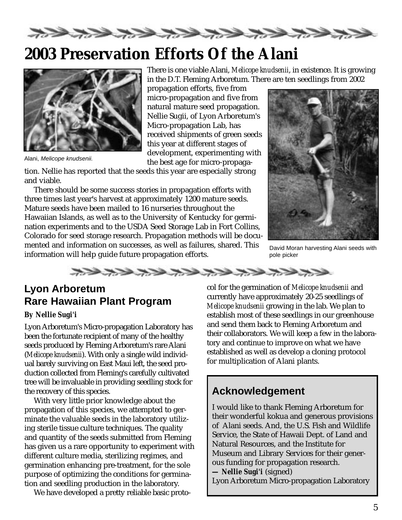

## **2003 Preservation Efforts Of the Alani**



Alani, *Melicope knudsenii.*

There is one viable Alani, *Melicope knudsenii*, in existence. It is growing in the D.T. Fleming Arboretum. There are ten seedlings from 2002

propagation efforts, five from micro-propagation and five from natural mature seed propagation. Nellie Sugii, of Lyon Arboretum's Micro-propagation Lab, has received shipments of green seeds this year at different stages of development, experimenting with the best age for micro-propaga-

tion. Nellie has reported that the seeds this year are especially strong and viable.

There should be some success stories in propagation efforts with three times last year's harvest at approximately 1200 mature seeds. Mature seeds have been mailed to 16 nurseries throughout the Hawaiian Islands, as well as to the University of Kentucky for germination experiments and to the USDA Seed Storage Lab in Fort Collins, Colorado for seed storage research. Propagation methods will be documented and information on successes, as well as failures, shared. This information will help guide future propagation efforts.



David Moran harvesting Alani seeds with pole picker



#### **Lyon Arboretum Rare Hawaiian Plant Program**

#### *By Nellie Sugi'i*

Lyon Arboretum's Micro-propagation Laboratory has been the fortunate recipient of many of the healthy seeds produced by Fleming Arboretum's rare Alani (*Melicope knudsenii*). With only a single wild individual barely surviving on East Maui left, the seed production collected from Fleming's carefully cultivated tree will be invaluable in providing seedling stock for the recovery of this species.

With very little prior knowledge about the propagation of this species, we attempted to germinate the valuable seeds in the laboratory utilizing sterile tissue culture techniques. The quality and quantity of the seeds submitted from Fleming has given us a rare opportunity to experiment with different culture media, sterilizing regimes, and germination enhancing pre-treatment, for the sole purpose of optimizing the conditions for germination and seedling production in the laboratory.

We have developed a pretty reliable basic proto-

col for the germination of *Melicope knudsenii* and currently have approximately 20-25 seedlings of *Melicope knudsenii* growing in the lab. We plan to establish most of these seedlings in our greenhouse and send them back to Fleming Arboretum and their collaborators. We will keep a few in the laboratory and continue to improve on what we have established as well as develop a cloning protocol for multiplication of Alani plants.

### **Acknowledgement**

I would like to thank Fleming Arboretum for their wonderful kokua and generous provisions of Alani seeds. And, the U.S. Fish and Wildlife Service, the State of Hawaii Dept. of Land and Natural Resources, and the Institute for Museum and Library Services for their generous funding for propagation research. **—** *Nellie Sugi'i* (signed) Lyon Arboretum Micro-propagation Laboratory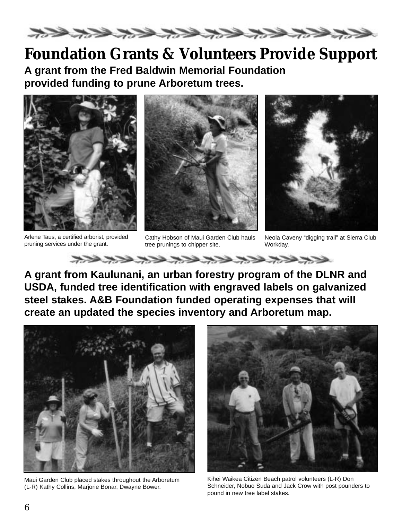

## **Foundation Grants & Volunteers Provide Support**

**A grant from the Fred Baldwin Memorial Foundation provided funding to prune Arboretum trees.**



Arlene Taus, a certified arborist, provided pruning services under the grant.



Cathy Hobson of Maui Garden Club hauls tree prunings to chipper site.

xxxxxxxxxxxxxxx



Neola Caveny "digging trail" at Sierra Club Workday.

**A grant from Kaulunani, an urban forestry program of the DLNR and USDA, funded tree identification with engraved labels on galvanized steel stakes. A&B Foundation funded operating expenses that will create an updated the species inventory and Arboretum map.**



Maui Garden Club placed stakes throughout the Arboretum (L-R) Kathy Collins, Marjorie Bonar, Dwayne Bower.



Kihei Waikea Citizen Beach patrol volunteers (L-R) Don Schneider, Nobuo Suda and Jack Crow with post pounders to pound in new tree label stakes.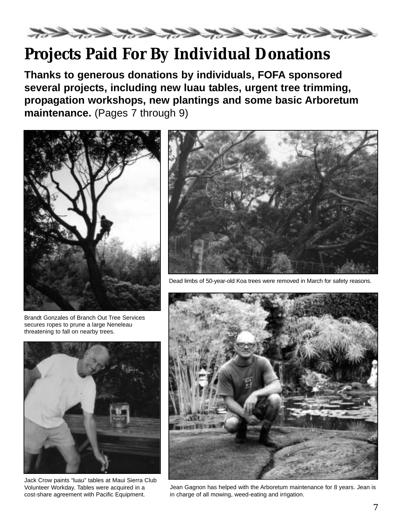

## **Projects Paid For By Individual Donations**

**Thanks to generous donations by individuals, FOFA sponsored several projects, including new luau tables, urgent tree trimming, propagation workshops, new plantings and some basic Arboretum maintenance.** (Pages 7 through 9)



Brandt Gonzales of Branch Out Tree Services secures ropes to prune a large Neneleau threatening to fall on nearby trees.



Jack Crow paints "luau" tables at Maui Sierra Club Volunteer Workday. Tables were acquired in a cost-share agreement with Pacific Equipment.



Dead limbs of 50-year-old Koa trees were removed in March for safety reasons.



Jean Gagnon has helped with the Arboretum maintenance for 8 years. Jean is in charge of all mowing, weed-eating and irrigation.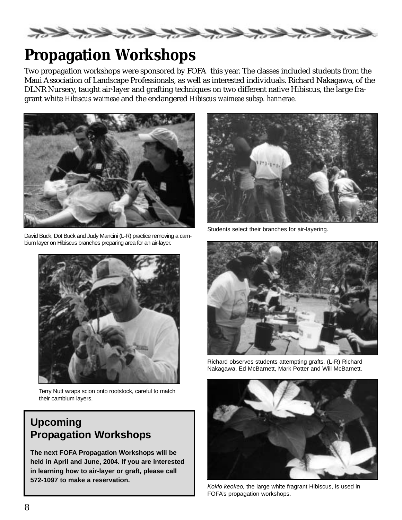

## **Propagation Workshops**

Two propagation workshops were sponsored by FOFA this year. The classes included students from the Maui Association of Landscape Professionals, as well as interested individuals. Richard Nakagawa, of the DLNR Nursery, taught air-layer and grafting techniques on two different native Hibiscus, the large fragrant white *Hibiscus waimeae* and the endangered *Hibiscus waimeae subsp. hannerae.*



David Buck, Dot Buck and Judy Mancini (L-R) practice removing a cambium layer on Hibiscus branches preparing area for an air-layer.



Terry Nutt wraps scion onto rootstock, careful to match their cambium layers.

### **Upcoming Propagation Workshops**

**The next FOFA Propagation Workshops will be held in April and June, 2004. If you are interested in learning how to air-layer or graft, please call 572-1097 to make a reservation.**



Students select their branches for air-layering.



Richard observes students attempting grafts. (L-R) Richard Nakagawa, Ed McBarnett, Mark Potter and Will McBarnett.



*Kokio keokeo,* the large white fragrant Hibiscus, is used in FOFA's propagation workshops.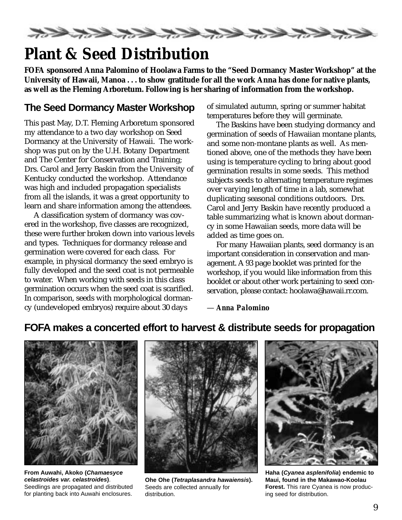

## **Plant & Seed Distribution**

**FOFA sponsored Anna Palomino of Hoolawa Farms to the "Seed Dormancy Master Workshop" at the University of Hawaii, Manoa . . . to show gratitude for all the work Anna has done for native plants, as well as the Fleming Arboretum. Following is her sharing of information from the workshop.**

### **The Seed Dormancy Master Workshop**

This past May, D.T. Fleming Arboretum sponsored my attendance to a two day workshop on Seed Dormancy at the University of Hawaii. The workshop was put on by the U.H. Botany Department and The Center for Conservation and Training; Drs. Carol and Jerry Baskin from the University of Kentucky conducted the workshop. Attendance was high and included propagation specialists from all the islands, it was a great opportunity to learn and share information among the attendees.

A classification system of dormancy was covered in the workshop, five classes are recognized, these were further broken down into various levels and types. Techniques for dormancy release and germination were covered for each class. For example, in physical dormancy the seed embryo is fully developed and the seed coat is not permeable to water. When working with seeds in this class germination occurs when the seed coat is scarified. In comparison, seeds with morphological dormancy (undeveloped embryos) require about 30 days

of simulated autumn, spring or summer habitat temperatures before they will germinate.

The Baskins have been studying dormancy and germination of seeds of Hawaiian montane plants, and some non-montane plants as well. As mentioned above, one of the methods they have been using is temperature cycling to bring about good germination results in some seeds. This method subjects seeds to alternating temperature regimes over varying length of time in a lab, somewhat duplicating seasonal conditions outdoors. Drs. Carol and Jerry Baskin have recently produced a table summarizing what is known about dormancy in some Hawaiian seeds, more data will be added as time goes on.

For many Hawaiian plants, seed dormancy is an important consideration in conservation and management. A 93 page booklet was printed for the workshop, if you would like information from this booklet or about other work pertaining to seed conservation, please contact: hoolawa@hawaii.rr.com.

— *Anna Palomino*

### **FOFA makes a concerted effort to harvest & distribute seeds for propagation**



**From Auwahi, Akoko (***Chamaesyce celastroides var. celastroides***)**. Seedlings are propagated and distributed for planting back into Auwahi enclosures.



**Ohe Ohe (***Tetraplasandra hawaiensis***).** Seeds are collected annually for distribution.



**Haha (***Cyanea asplenifolia***) endemic to Maui, found in the Makawao-Koolau Forest.** This rare Cyanea is now producing seed for distribution.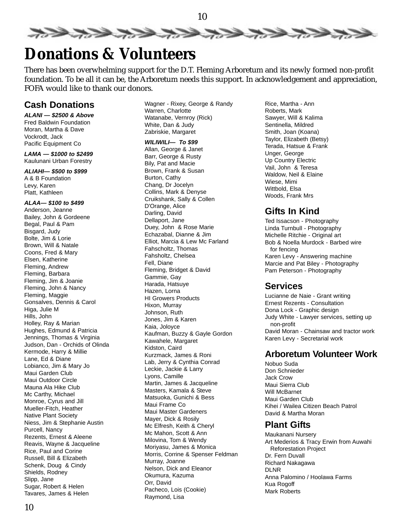

## **Donations & Volunteers**

There has been overwhelming support for the D.T. Fleming Arboretum and its newly formed non-profit foundation. To be all it can be, the Arboretum needs this support. In acknowledgement and appreciation, FOFA would like to thank our donors.

#### **Cash Donations**

*ALANI* **—** *\$2500 & Above* Fred Baldwin Foundation Moran, Martha & Dave Vockrodt, Jack Pacific Equipment Co

#### *LAMA — \$1000 to \$2499* Kaulunani Urban Forestry

*ALIAHI— \$500 to \$999* A & B Foundation Levy, Karen Platt, Kathleen

#### *ALAA— \$100 to \$499*

Anderson, Jeanne Bailey, John & Gordeene Begal, Paul & Pam Bisgard, Judy Bolte, Jim & Lorie Brown, Will & Natale Coons, Fred & Mary Elsen, Katherine Fleming, Andrew Fleming, Barbara Fleming, Jim & Joanie Fleming, John & Nancy Fleming, Maggie Gonsalves, Dennis & Carol Higa, Julie M Hills, John Holley, Ray & Marian Hughes, Edmund & Patricia Jennings, Thomas & Virginia Judson, Dan - Orchids of Olinda Kermode, Harry & Millie Lane, Ed & Diane Lobianco, Jim & Mary Jo Maui Garden Club Maui Outdoor Circle Mauna Ala Hike Club Mc Carthy, Michael Monroe, Cyrus and Jill Mueller-Fitch, Heather Native Plant Society Niess, Jim & Stephanie Austin Purcell, Nancy Rezents, Ernest & Aleene Reavis, Wayne & Jacqueline Rice, Paul and Corine Russell, Bill & Elizabeth Schenk, Doug & Cindy Shields, Rodney Slipp, Jane Sugar, Robert & Helen Tavares, James & Helen

Wagner - Rixey, George & Randy Warren, Charlotte Watanabe, Vernroy (Rick) White, Dan & Judy Zabriskie, Margaret

#### *WILIWILI— To \$99*

Allan, George & Janet Barr, George & Rusty Bily, Pat and Macie Brown, Frank & Susan Burton, Cathy Chang, Dr Jocelyn Collins, Mark & Denyse Cruikshank, Sally & Collen D'Orange, Alice Darling, David Dellaport, Jane Duey, John & Rose Marie Echazabal, Dianne & Jim Elliot, Marcia & Lew Mc Farland Fahscholtz, Thomas Fahsholtz, Chelsea Fell, Diane Fleming, Bridget & David Gammie, Gay Harada, Hatsuye Hazen, Lorna HI Growers Products Hixon, Murray Johnson, Ruth Jones, Jim & Karen Kaia, Joloyce Kaufman, Buzzy & Gayle Gordon Kawahele, Margaret Kidston, Caird Kurzmack, James & Roni Lab, Jerry & Cynthia Conrad Leckie, Jackie & Larry Lyons, Camille Martin, James & Jacqueline Masters, Kamala & Steve Matsuoka, Gunichi & Bess Maui Frame Co Maui Master Gardeners Mayer, Dick & Rosily Mc Elfresh, Keith & Cheryl Mc Mahon, Scott & Ann Milovina, Tom & Wendy Moriyasu, James & Monica Morris, Corrine & Spenser Feldman Murray, Joanne Nelson, Dick and Eleanor Okumura, Kazuma Orr, David Pacheco, Lois (Cookie) Raymond, Lisa

Rice, Martha - Ann Roberts, Mark Sawyer, Will & Kalima Sentinella, Mildred Smith, Joan (Koana) Taylor, Elizabeth (Betsy) Terada, Hatsue & Frank Unger, George Up Country Electric Vail, John & Teresa Waldow, Neil & Elaine Wiese, Mimi Wittbold, Elsa Woods, Frank Mrs

#### **Gifts In Kind**

Ted Issacson - Photography Linda Turnbull - Photography Michelle Ritchie - Original art Bob & Noella Murdock - Barbed wire for fencing Karen Levy - Answering machine Marcie and Pat Biley - Photography Pam Peterson - Photography

#### **Services**

Lucianne de Naie - Grant writing Ernest Rezents - Consultation Dona Lock - Graphic design Judy White - Lawyer services, setting up non-profit David Moran - Chainsaw and tractor work Karen Levy - Secretarial work

#### **Arboretum Volunteer Work**

Nobuo Suda Don Schnieder Jack Crow Maui Sierra Club Will McBarnet Maui Garden Club Kihei / Wailea Citizen Beach Patrol David & Martha Moran

#### **Plant Gifts**

Maukanani Nursery Art Mederios & Tracy Erwin from Auwahi Reforestation Project Dr. Fern Duvall Richard Nakagawa DLNR Anna Palomino / Hoolawa Farms Kua Rogoff Mark Roberts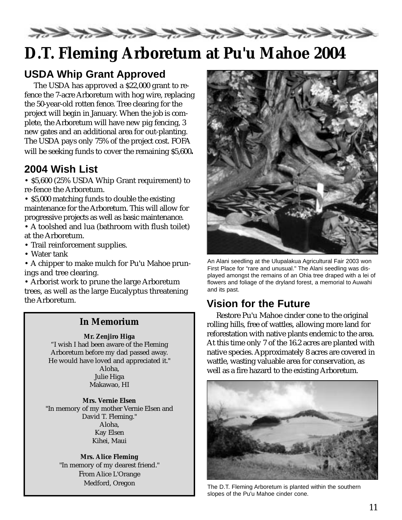

## **D.T. Fleming Arboretum at Pu'u Mahoe 2004**

### **USDA Whip Grant Approved**

The USDA has approved a \$22,000 grant to refence the 7-acre Arboretum with hog wire, replacing the 50-year-old rotten fence. Tree clearing for the project will begin in January. When the job is complete, the Arboretum will have new pig fencing, 3 new gates and an additional area for out-planting. The USDA pays only 75% of the project cost. FOFA will be seeking funds to cover the remaining \$5,600**.**

### **2004 Wish List**

• \$5,600 (25% USDA Whip Grant requirement) to re-fence the Arboretum.

• \$5,000 matching funds to double the existing maintenance for the Arboretum. This will allow for progressive projects as well as basic maintenance.

• A toolshed and lua (bathroom with flush toilet) at the Arboretum.

• Trail reinforcement supplies.

• Water tank

• A chipper to make mulch for Pu'u Mahoe prunings and tree clearing.

• Arborist work to prune the large Arboretum trees, as well as the large Eucalyptus threatening the Arboretum. **Vision for the Future**

#### **In Memorium**

#### **Mr. Zenjiro Higa**

"I wish I had been aware of the Fleming Arboretum before my dad passed away. He would have loved and appreciated it." Aloha, Julie Higa Makawao, HI

**Mrs. Vernie Elsen** "In memory of my mother Vernie Elsen and David T. Fleming." Aloha, Kay Elsen Kihei, Maui

**Mrs. Alice Fleming** "In memory of my dearest friend." From Alice L'Orange Medford, Oregon



An Alani seedling at the Ulupalakua Agricultural Fair 2003 won First Place for "rare and unusual." The Alani seedling was displayed amongst the remains of an Ohia tree draped with a lei of flowers and foliage of the dryland forest, a memorial to Auwahi and its past.

Restore Pu'u Mahoe cinder cone to the original rolling hills, free of wattles, allowing more land for reforestation with native plants endemic to the area. At this time only 7 of the 16.2 acres are planted with native species. Approximately 8 acres are covered in wattle, wasting valuable area for conservation, as well as a fire hazard to the existing Arboretum.



The D.T. Fleming Arboretum is planted within the southern slopes of the Pu'u Mahoe cinder cone.